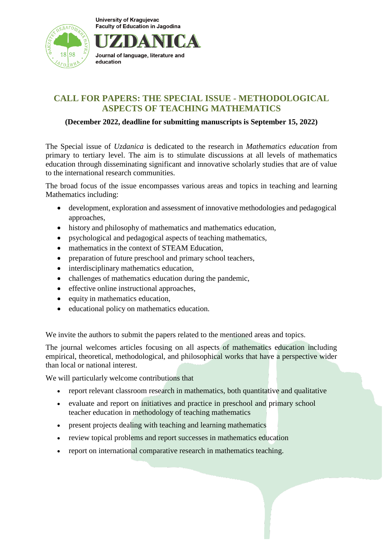



# **CALL FOR PAPERS: THE SPECIAL ISSUE - METHODOLOGICAL ASPECTS OF TEACHING MATHEMATICS**

#### **(December 2022, deadline for submitting manuscripts is September 15, 2022)**

The Special issue of *Uzdanica* is dedicated to the research in *Mathematics education* from primary to tertiary level. The aim is to stimulate discussions at all levels of mathematics education through disseminating significant and innovative scholarly studies that are of value to the international research communities.

The broad focus of the issue encompasses various areas and topics in teaching and learning Mathematics including:

- development, exploration and assessment of innovative methodologies and pedagogical approaches,
- history and philosophy of mathematics and mathematics education,
- psychological and pedagogical aspects of teaching mathematics,
- mathematics in the context of STEAM Education.
- preparation of future preschool and primary school teachers,
- interdisciplinary mathematics education,
- challenges of mathematics education during the pandemic,
- effective online instructional approaches,
- equity in mathematics education,
- educational policy on mathematics education.

We invite the authors to submit the papers related to the mentioned areas and topics.

The journal welcomes articles focusing on all aspects of mathematics education including empirical, theoretical, methodological, and philosophical works that have a perspective wider than local or national interest.

We will particularly welcome contributions that

- report relevant classroom research in mathematics, both quantitative and qualitative
- evaluate and report on initiatives and practice in preschool and primary school teacher education in methodology of teaching mathematics
- present projects dealing with teaching and learning mathematics
- review topical problems and report successes in mathematics education
- report on international comparative research in mathematics teaching.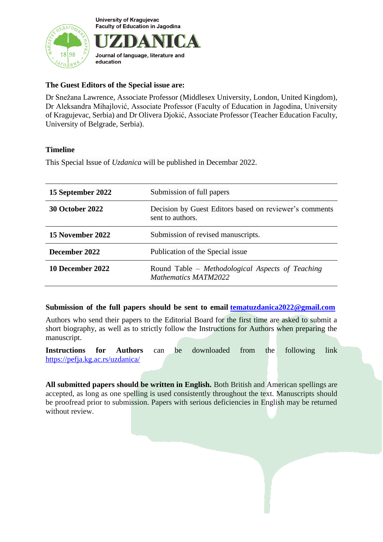

Journal of language, literature and education

# **The Guest Editors of the Special issue are:**

Dr Snežana Lawrence, Associate Professor (Middlesex University, London, United Kingdom), Dr Aleksandra Mihajlović, Associate Professor (Faculty of Education in Jagodina, University of Kragujevac, Serbia) and Dr Olivera Djokić, Associate Professor (Teacher Education Faculty, University of Belgrade, Serbia).

#### **Timeline**

This Special Issue of *Uzdanica* will be published in Decembar 2022.

| 15 September 2022      | Submission of full papers                                                  |
|------------------------|----------------------------------------------------------------------------|
| <b>30 October 2022</b> | Decision by Guest Editors based on reviewer's comments<br>sent to authors. |
| 15 November 2022       | Submission of revised manuscripts.                                         |
| December 2022          | Publication of the Special issue                                           |
| 10 December 2022       | Round Table – Methodological Aspects of Teaching<br>Mathematics MATM2022   |

#### **Submission of the full papers should be sent to email [tematuzdanica2022@gmail.com](mailto:tematuzdanica2022@gmail.com)**

Authors who send their papers to the Editorial Board for the first time are asked to submit a short biography, as well as to strictly follow the Instructions for Authors when preparing the manuscript.

**Instructions for Authors** can be downloaded from the following link https://pefja.kg.ac.rs/uzdanica/

**All submitted papers should be written in English.** Both British and American spellings are accepted, as long as one spelling is used consistently throughout the text. Manuscripts should be proofread prior to submission. Papers with serious deficiencies in English may be returned without review.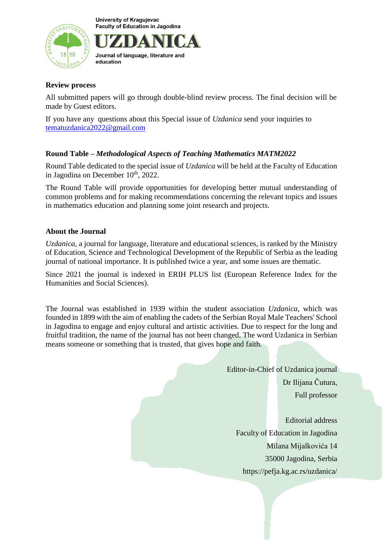

Journal of language, literature and education

# **Review process**

All submitted papers will go through double-blind review process. The final decision will be made by Guest editors.

If you have any questions about this Special issue of *Uzdanica* send your inquiries to [tematuzdanica2022@gmail.com](mailto:tematuzdanica2022@gmail.com)

# **Round Table –** *Methodological Aspects of Teaching Mathematics MATM2022*

Round Table dedicated to the special issue of *Uzdanica* will be held at the Faculty of Education in Jagodina on December 10<sup>th</sup>, 2022.

The Round Table will provide opportunities for developing better mutual understanding of common problems and for making recommendations concerning the relevant topics and issues in mathematics education and planning some joint research and projects.

# **About the Journal**

*Uzdanica*, a journal for language, literature and educational sciences, is ranked by the Ministry of Education, Science and Technological Development of the Republic of Serbia as the leading journal of national importance. It is published twice a year, and some issues are thematic.

Since 2021 the journal is indexed in ERIH PLUS list (European Reference Index for the Humanities and Social Sciences).

The Journal was established in 1939 within the student association *Uzdanica*, which was founded in 1899 with the aim of enabling the cadets of the Serbian Royal Male Teachers' School in Jagodina to engage and enjoy cultural and artistic activities. Due to respect for the long and fruitful tradition, the name of the journal has not been changed. The word Uzdanica in Serbian means someone or something that is trusted, that gives hope and faith.

> Editor-in-Chief of Uzdanica journal Dr Ilijana Čutura, Full professor

Editorial address Faculty of Education in Jagodina Milana Mijalkovića 14 35000 Jagodina, Serbia https://pefja.kg.ac.rs/uzdanica/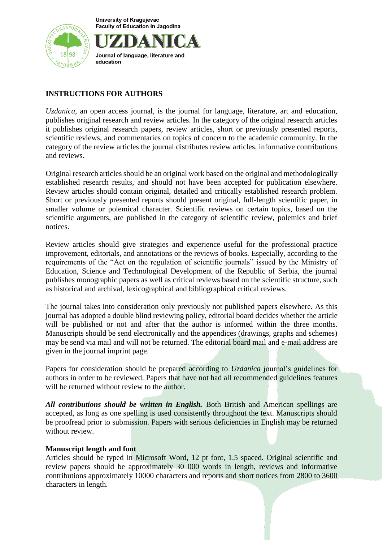

# Journal of language, literature and education

# **INSTRUCTIONS FOR AUTHORS**

*Uzdanica*, an open access journal, is the journal for language, literature, art and education, publishes original research and review articles. In the category of the original research articles it publishes original research papers, review articles, short or previously presented reports, scientific reviews, and commentaries on topics of concern to the academic community. In the category of the review articles the journal distributes review articles, informative contributions and reviews.

Original research articles should be an original work based on the original and methodologically established research results, and should not have been accepted for publication elsewhere. Review articles should contain original, detailed and critically established research problem. Short or previously presented reports should present original, full-length scientific paper, in smaller volume or polemical character. Scientific reviews on certain topics, based on the scientific arguments, are published in the category of scientific review, polemics and brief notices.

Review articles should give strategies and experience useful for the professional practice improvement, editorials, and annotations or the reviews of books. Especially, according to the requirements of the "Act on the regulation of scientific journals" issued by the Ministry of Education, Science and Technological Development of the Republic of Serbia, the journal publishes monographic papers as well as critical reviews based on the scientific structure, such as historical and archival, lexicographical and bibliographical critical reviews.

The journal takes into consideration only previously not published papers elsewhere. As this journal has adopted a double blind reviewing policy, editorial board decides whether the article will be published or not and after that the author is informed within the three months. Manuscripts should be send electronically and the appendices (drawings, graphs and schemes) may be send via mail and will not be returned. The editorial board mail and e-mail address are given in the journal imprint page.

Papers for consideration should be prepared according to *Uzdanica* journal's guidelines for authors in order to be reviewed. Papers that have not had all recommended guidelines features will be returned without review to the author.

*All contributions should be written in English.* Both British and American spellings are accepted, as long as one spelling is used consistently throughout the text. Manuscripts should be proofread prior to submission. Papers with serious deficiencies in English may be returned without review.

# **Manuscript length and font**

Articles should be typed in Microsoft Word, 12 pt font, 1.5 spaced. Original scientific and review papers should be approximately 30 000 words in length, reviews and informative contributions approximately 10000 characters and reports and short notices from 2800 to 3600 characters in length.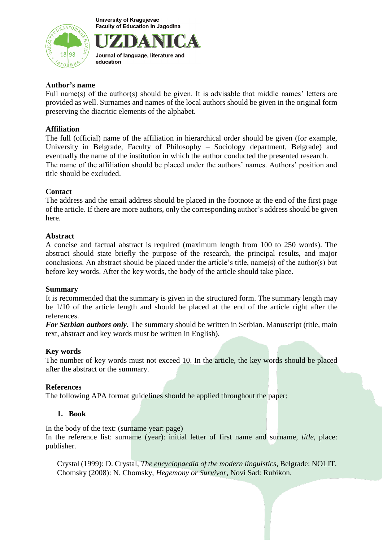



#### **Author's name**

Full name(s) of the author(s) should be given. It is advisable that middle names' letters are provided as well. Surnames and names of the local authors should be given in the original form preserving the diacritic elements of the alphabet.

#### **Affiliation**

The full (official) name of the affiliation in hierarchical order should be given (for example, University in Belgrade, Faculty of Philosophy – Sociology department, Belgrade) and eventually the name of the institution in which the author conducted the presented research. The name of the affiliation should be placed under the authors' names. Authors' position and title should be excluded.

#### **Contact**

The address and the email address should be placed in the footnote at the end of the first page of the article. If there are more authors, only the corresponding author's address should be given here.

#### **Abstract**

A concise and factual abstract is required (maximum length from 100 to 250 words). The abstract should state briefly the purpose of the research, the principal results, and major conclusions. An abstract should be placed under the article's title, name(s) of the author(s) but before key words. After the key words, the body of the article should take place.

#### **Summary**

It is recommended that the summary is given in the structured form. The summary length may be 1/10 of the article length and should be placed at the end of the article right after the references.

*For Serbian authors only.* The summary should be written in Serbian. Manuscript (title, main text, abstract and key words must be written in English).

#### **Key words**

The number of key words must not exceed 10. In the article, the key words should be placed after the abstract or the summary.

#### **References**

The following APA format guidelines should be applied throughout the paper:

#### **1. Book**

In the body of the text: (surname year: page)

In the reference list: surname (year): initial letter of first name and surname, *title*, place: publisher.

Crystal (1999): D. Crystal, *The encyclopaedia of the modern linguistics*, Belgrade: NOLIT. Chomsky (2008): N. Chomsky, *Hegemony or Survivor*, Novi Sad: Rubikon.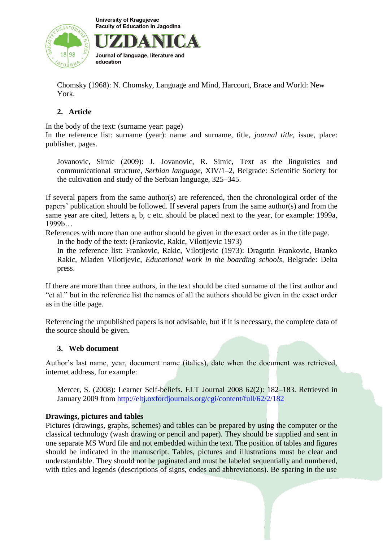

Journal of language, literature and education

Chomsky (1968): N. Chomsky, Language and Mind, Harcourt, Brace and World: New York.

# **2. Article**

In the body of the text: (surname year: page)

In the reference list: surname (year): name and surname, title, *journal title*, issue, place: publisher, pages.

Jovanovic, Simic (2009): J. Jovanovic, R. Simic, Text as the linguistics and communicational structure, *Serbian language*, XIV/1–2, Belgrade: Scientific Society for the cultivation and study of the Serbian language, 325–345.

If several papers from the same author(s) are referenced, then the chronological order of the papers' publication should be followed. If several papers from the same author(s) and from the same year are cited, letters a, b, c etc. should be placed next to the year, for example: 1999a, 1999b…

References with more than one author should be given in the exact order as in the title page. In the body of the text: (Frankovic, Rakic, Vilotijevic 1973)

In the reference list: Frankovic, Rakic, Vilotijevic (1973): Dragutin Frankovic, Branko Rakic, Mladen Vilotijevic, *Educational work in the boarding schools*, Belgrade: Delta press.

If there are more than three authors, in the text should be cited surname of the first author and "et al." but in the reference list the names of all the authors should be given in the exact order as in the title page.

Referencing the unpublished papers is not advisable, but if it is necessary, the complete data of the source should be given.

# **3. Web document**

Author's last name, year, document name (italics), date when the document was retrieved, internet address, for example:

Mercer, S. (2008): Learner Self-beliefs. ELT Journal 2008 62(2): 182–183. Retrieved in January 2009 from <http://eltj.oxfordjournals.org/cgi/content/full/62/2/182>

# **Drawings, pictures and tables**

Pictures (drawings, graphs, schemes) and tables can be prepared by using the computer or the classical technology (wash drawing or pencil and paper). They should be supplied and sent in one separate MS Word file and not embedded within the text. The position of tables and figures should be indicated in the manuscript. Tables, pictures and illustrations must be clear and understandable. They should not be paginated and must be labeled sequentially and numbered, with titles and legends (descriptions of signs, codes and abbreviations). Be sparing in the use